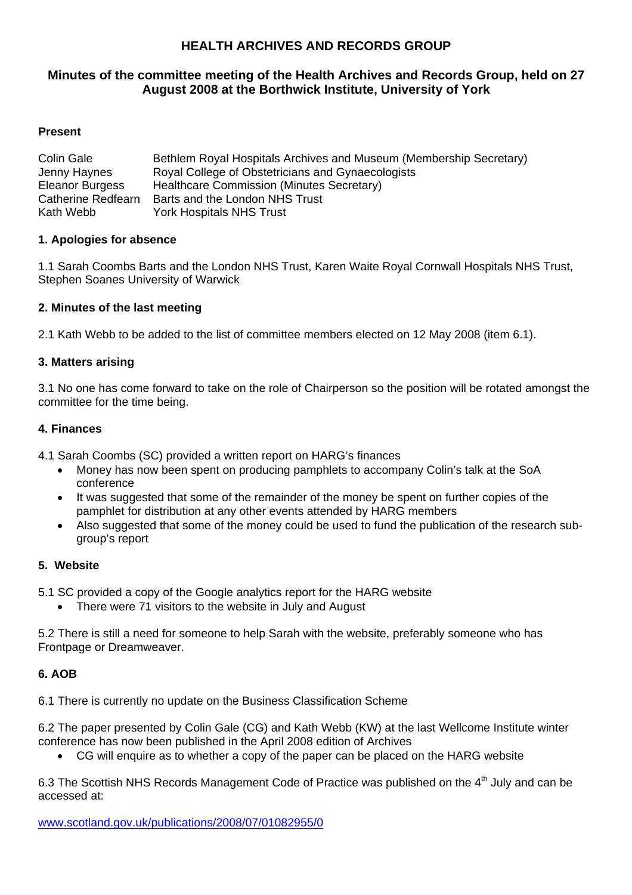# **HEALTH ARCHIVES AND RECORDS GROUP**

## **Minutes of the committee meeting of the Health Archives and Records Group, held on 27 August 2008 at the Borthwick Institute, University of York**

### **Present**

| Colin Gale         | Bethlem Royal Hospitals Archives and Museum (Membership Secretary) |
|--------------------|--------------------------------------------------------------------|
| Jenny Haynes       | Royal College of Obstetricians and Gynaecologists                  |
| Eleanor Burgess    | Healthcare Commission (Minutes Secretary)                          |
| Catherine Redfearn | Barts and the London NHS Trust                                     |
| Kath Webb          | <b>York Hospitals NHS Trust</b>                                    |

#### **1. Apologies for absence**

1.1 Sarah Coombs Barts and the London NHS Trust, Karen Waite Royal Cornwall Hospitals NHS Trust, Stephen Soanes University of Warwick

### **2. Minutes of the last meeting**

2.1 Kath Webb to be added to the list of committee members elected on 12 May 2008 (item 6.1).

### **3. Matters arising**

3.1 No one has come forward to take on the role of Chairperson so the position will be rotated amongst the committee for the time being.

#### **4. Finances**

4.1 Sarah Coombs (SC) provided a written report on HARG's finances

- Money has now been spent on producing pamphlets to accompany Colin's talk at the SoA conference
- It was suggested that some of the remainder of the money be spent on further copies of the pamphlet for distribution at any other events attended by HARG members
- Also suggested that some of the money could be used to fund the publication of the research subgroup's report

## **5. Website**

- 5.1 SC provided a copy of the Google analytics report for the HARG website
	- There were 71 visitors to the website in July and August

5.2 There is still a need for someone to help Sarah with the website, preferably someone who has Frontpage or Dreamweaver.

## **6. AOB**

6.1 There is currently no update on the Business Classification Scheme

6.2 The paper presented by Colin Gale (CG) and Kath Webb (KW) at the last Wellcome Institute winter conference has now been published in the April 2008 edition of Archives

• CG will enquire as to whether a copy of the paper can be placed on the HARG website

6.3 The Scottish NHS Records Management Code of Practice was published on the 4<sup>th</sup> July and can be accessed at:

www.scotland.gov.uk/publications/2008/07/01082955/0